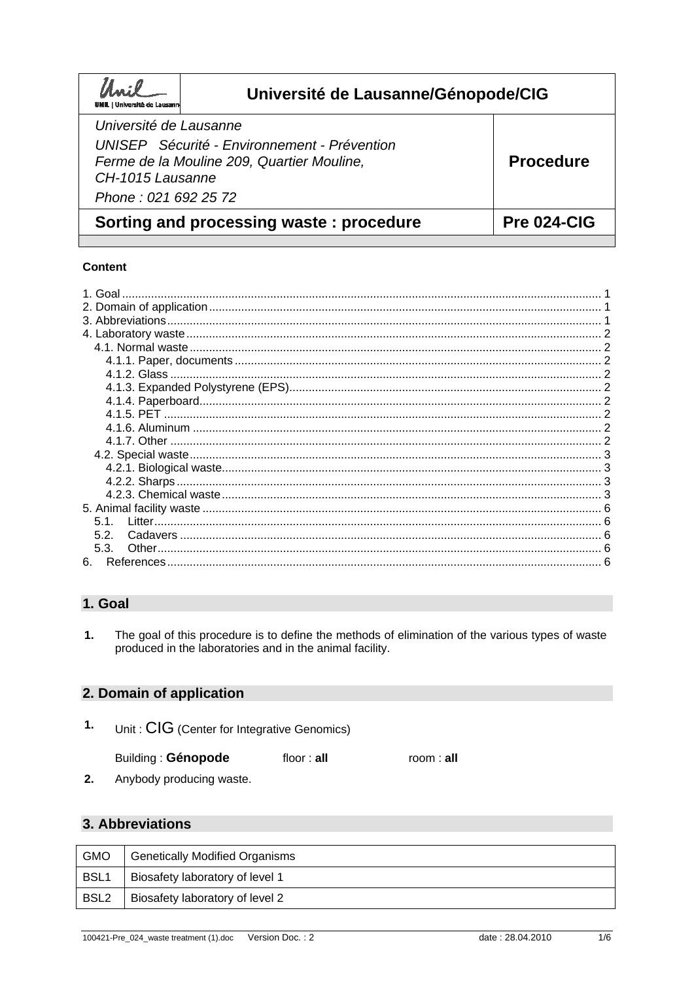| UNIL   Université de Lausann                                       | Université de Lausanne/Génopode/CIG                                                        |                  |
|--------------------------------------------------------------------|--------------------------------------------------------------------------------------------|------------------|
| Université de Lausanne<br>CH-1015 Lausanne<br>Phone: 021 692 25 72 | UNISEP Sécurité - Environnement - Prévention<br>Ferme de la Mouline 209, Quartier Mouline, | <b>Procedure</b> |
| Sorting and processing waste: procedure                            |                                                                                            | Pre 024-CIG      |

## Content

| 51<br>52<br>5.3. | 1. Goal |  |
|------------------|---------|--|
|                  |         |  |
|                  |         |  |
|                  |         |  |
|                  |         |  |
|                  |         |  |
|                  |         |  |
|                  |         |  |
|                  |         |  |
|                  |         |  |
|                  |         |  |
|                  |         |  |
|                  |         |  |
|                  |         |  |
|                  |         |  |
|                  |         |  |
|                  |         |  |
|                  |         |  |
|                  |         |  |
|                  |         |  |
| 6.               |         |  |

# 1. Goal

 $\overline{1}$ . The goal of this procedure is to define the methods of elimination of the various types of waste produced in the laboratories and in the animal facility.

# 2. Domain of application

 $\mathbf{1}$ . Unit: CIG (Center for Integrative Genomics)

| Building: Génopode | floor : <b>all</b> | room: all |
|--------------------|--------------------|-----------|
|--------------------|--------------------|-----------|

 $2.$ Anybody producing waste.

# 3. Abbreviations

| <b>GMO</b>       | <b>Genetically Modified Organisms</b> |
|------------------|---------------------------------------|
| BSL <sub>1</sub> | Biosafety laboratory of level 1       |
| BSL <sub>2</sub> | Biosafety laboratory of level 2       |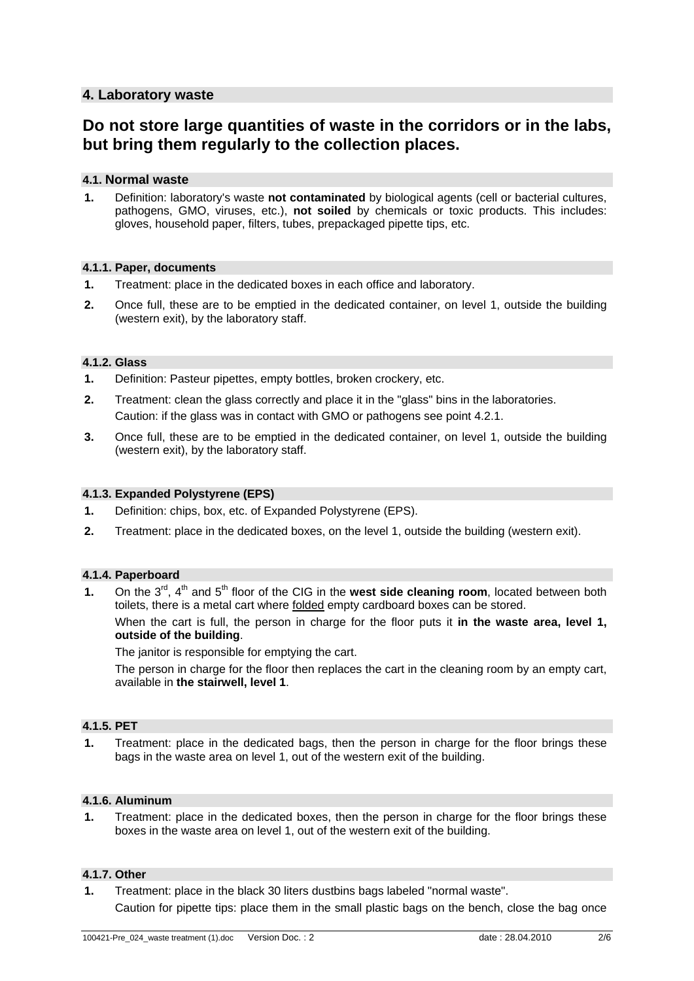## **4. Laboratory waste**

# **Do not store large quantities of waste in the corridors or in the labs, but bring them regularly to the collection places.**

## **4.1. Normal waste**

**1.** Definition: laboratory's waste **not contaminated** by biological agents (cell or bacterial cultures, pathogens, GMO, viruses, etc.), **not soiled** by chemicals or toxic products. This includes: gloves, household paper, filters, tubes, prepackaged pipette tips, etc.

#### **4.1.1. Paper, documents**

- **1.** Treatment: place in the dedicated boxes in each office and laboratory.
- **2.** Once full, these are to be emptied in the dedicated container, on level 1, outside the building (western exit), by the laboratory staff.

#### **4.1.2. Glass**

- **1.** Definition: Pasteur pipettes, empty bottles, broken crockery, etc.
- **2.** Treatment: clean the glass correctly and place it in the "glass" bins in the laboratories. Caution: if the glass was in contact with GMO or pathogens see point 4.2.1.
- **3.** Once full, these are to be emptied in the dedicated container, on level 1, outside the building (western exit), by the laboratory staff.

### **4.1.3. Expanded Polystyrene (EPS)**

- **1.** Definition: chips, box, etc. of Expanded Polystyrene (EPS).
- **2.** Treatment: place in the dedicated boxes, on the level 1, outside the building (western exit).

## **4.1.4. Paperboard**

**1.** On the 3<sup>rd</sup>, 4<sup>th</sup> and 5<sup>th</sup> floor of the CIG in the **west side cleaning room**, located between both toilets, there is a metal cart where folded empty cardboard boxes can be stored.

When the cart is full, the person in charge for the floor puts it **in the waste area, level 1, outside of the building**.

The janitor is responsible for emptying the cart.

The person in charge for the floor then replaces the cart in the cleaning room by an empty cart, available in **the stairwell, level 1**.

## **4.1.5. PET**

**1.** Treatment: place in the dedicated bags, then the person in charge for the floor brings these bags in the waste area on level 1, out of the western exit of the building.

#### **4.1.6. Aluminum**

**1.** Treatment: place in the dedicated boxes, then the person in charge for the floor brings these boxes in the waste area on level 1, out of the western exit of the building.

## **4.1.7. Other**

**1.** Treatment: place in the black 30 liters dustbins bags labeled "normal waste". Caution for pipette tips: place them in the small plastic bags on the bench, close the bag once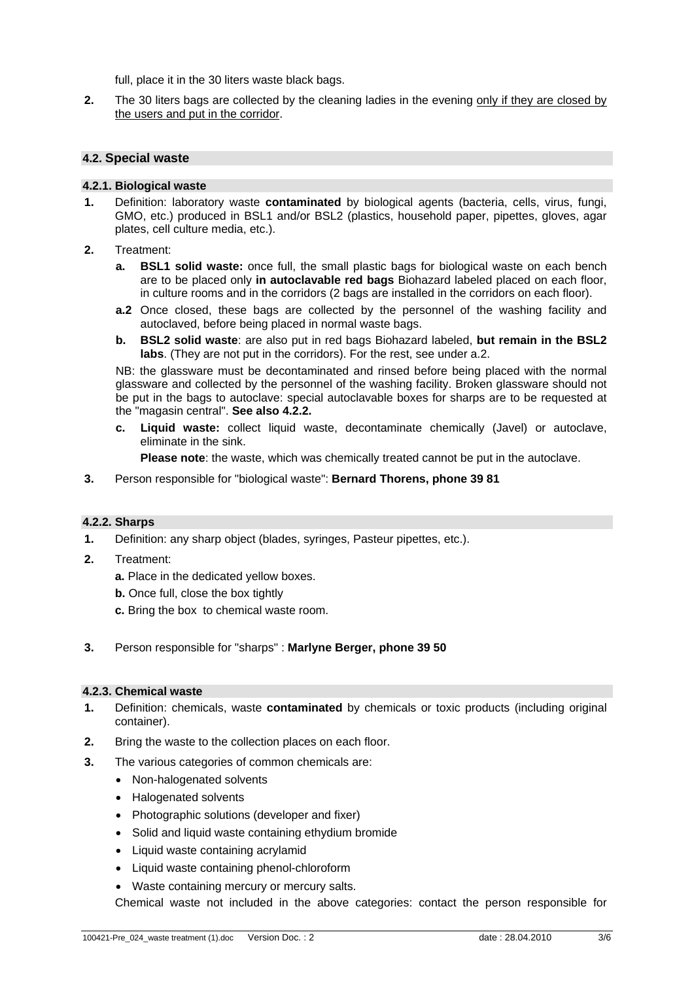full, place it in the 30 liters waste black bags.

**2.** The 30 liters bags are collected by the cleaning ladies in the evening only if they are closed by the users and put in the corridor.

### **4.2. Special waste**

#### **4.2.1. Biological waste**

- **1.** Definition: laboratory waste **contaminated** by biological agents (bacteria, cells, virus, fungi, GMO, etc.) produced in BSL1 and/or BSL2 (plastics, household paper, pipettes, gloves, agar plates, cell culture media, etc.).
- **2.** Treatment:
	- **a. BSL1 solid waste:** once full, the small plastic bags for biological waste on each bench are to be placed only **in autoclavable red bags** Biohazard labeled placed on each floor, in culture rooms and in the corridors (2 bags are installed in the corridors on each floor).
	- **a.2** Once closed, these bags are collected by the personnel of the washing facility and autoclaved, before being placed in normal waste bags.
	- **b. BSL2 solid waste**: are also put in red bags Biohazard labeled, **but remain in the BSL2 labs**. (They are not put in the corridors). For the rest, see under a.2.

NB: the glassware must be decontaminated and rinsed before being placed with the normal glassware and collected by the personnel of the washing facility. Broken glassware should not be put in the bags to autoclave: special autoclavable boxes for sharps are to be requested at the "magasin central". **See also 4.2.2.**

**c. Liquid waste:** collect liquid waste, decontaminate chemically (Javel) or autoclave, eliminate in the sink.

**Please note**: the waste, which was chemically treated cannot be put in the autoclave.

**3.** Person responsible for "biological waste": **Bernard Thorens, phone 39 81**

#### **4.2.2. Sharps**

- **1.** Definition: any sharp object (blades, syringes, Pasteur pipettes, etc.).
- **2.** Treatment:
	- **a.** Place in the dedicated yellow boxes.
	- **b.** Once full, close the box tightly
	- **c.** Bring the box to chemical waste room.
- **3.** Person responsible for "sharps" : **Marlyne Berger, phone 39 50**

#### **4.2.3. Chemical waste**

- **1.** Definition: chemicals, waste **contaminated** by chemicals or toxic products (including original container).
- **2.** Bring the waste to the collection places on each floor.
- **3.** The various categories of common chemicals are:
	- Non-halogenated solvents
	- Halogenated solvents
	- Photographic solutions (developer and fixer)
	- Solid and liquid waste containing ethydium bromide
	- Liquid waste containing acrylamid
	- Liquid waste containing phenol-chloroform
	- Waste containing mercury or mercury salts.

Chemical waste not included in the above categories: contact the person responsible for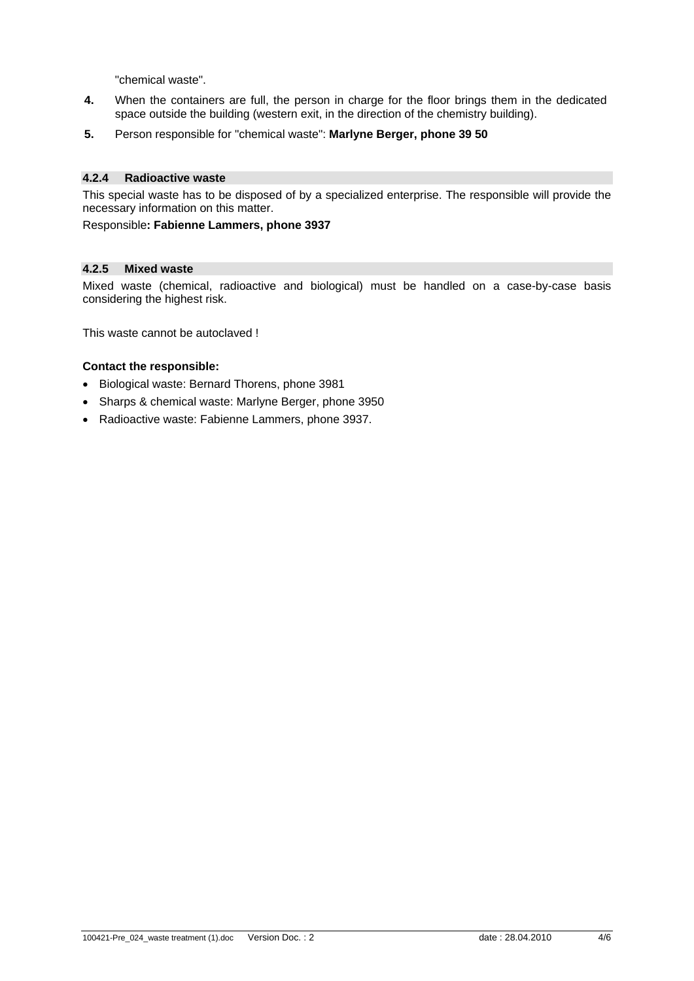"chemical waste".

- **4.** When the containers are full, the person in charge for the floor brings them in the dedicated space outside the building (western exit, in the direction of the chemistry building).
- **5.** Person responsible for "chemical waste": **Marlyne Berger, phone 39 50**

### **4.2.4 Radioactive waste**

This special waste has to be disposed of by a specialized enterprise. The responsible will provide the necessary information on this matter.

Responsible**: Fabienne Lammers, phone 3937** 

### **4.2.5 Mixed waste**

Mixed waste (chemical, radioactive and biological) must be handled on a case-by-case basis considering the highest risk.

This waste cannot be autoclaved !

### **Contact the responsible:**

- Biological waste: Bernard Thorens, phone 3981
- Sharps & chemical waste: Marlyne Berger, phone 3950
- Radioactive waste: Fabienne Lammers, phone 3937.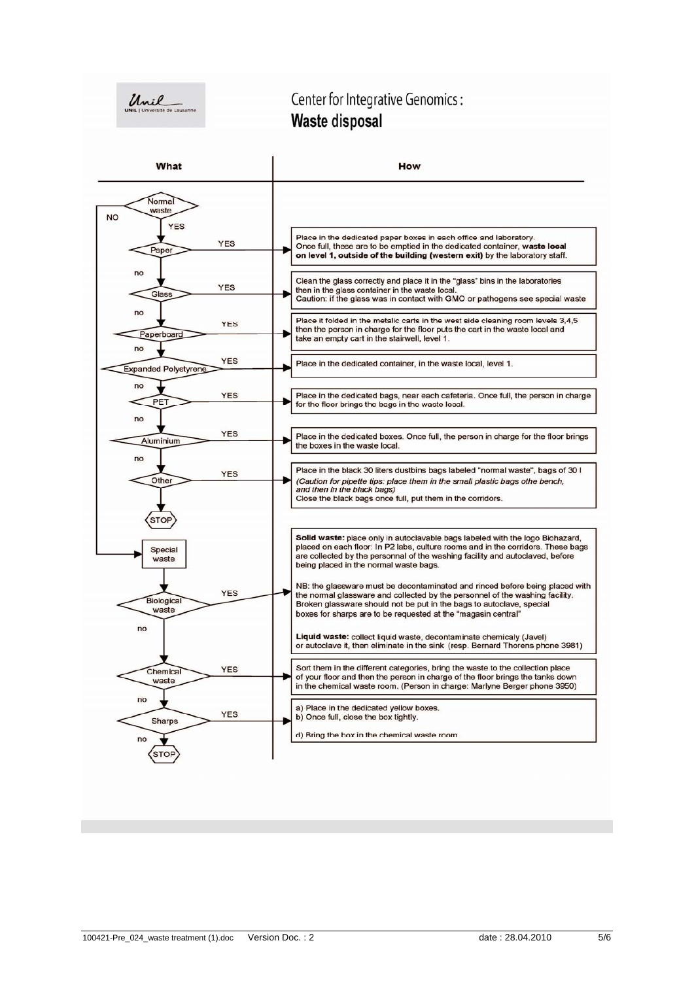